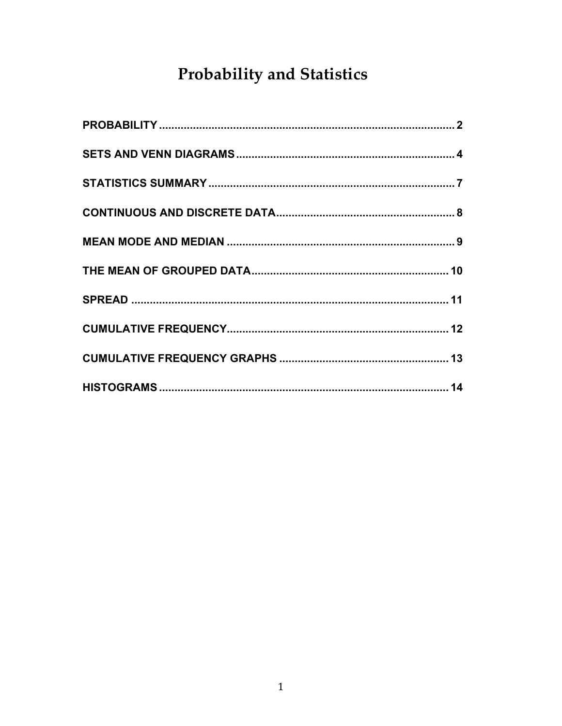# Probability and Statistics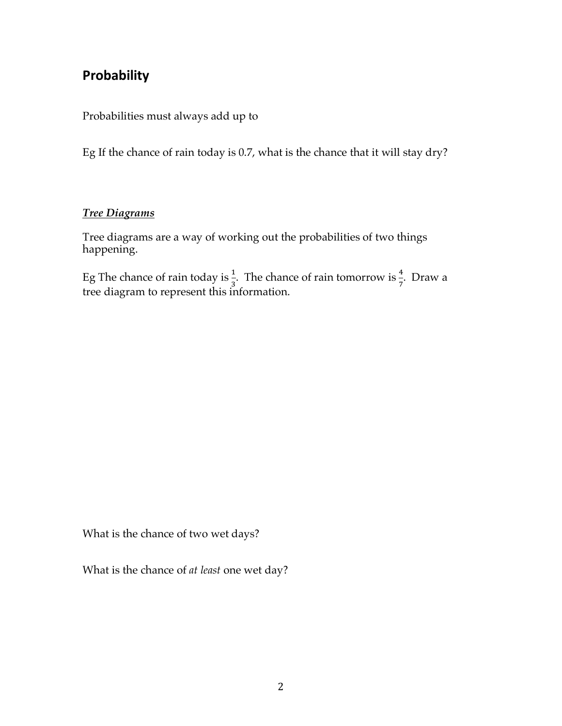### **Probability**

Probabilities must always add up to

Eg If the chance of rain today is 0.7, what is the chance that it will stay dry?

#### *Tree Diagrams*

Tree diagrams are a way of working out the probabilities of two things happening.

Eg The chance of rain today is  $\frac{1}{3}$ . The chance of rain tomorrow is  $\frac{4}{7}$ . Draw a tree diagram to represent this information.

What is the chance of two wet days?

What is the chance of *at least* one wet day?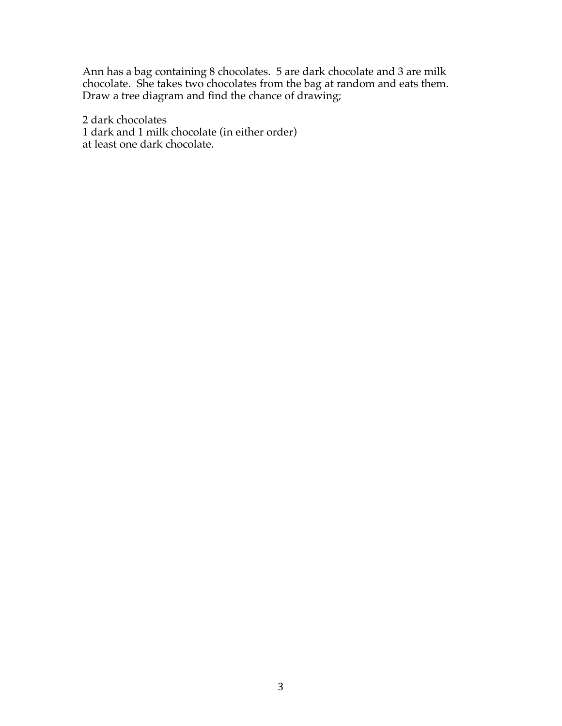Ann has a bag containing 8 chocolates. 5 are dark chocolate and 3 are milk chocolate. She takes two chocolates from the bag at random and eats them. Draw a tree diagram and find the chance of drawing;

2 dark chocolates 1 dark and 1 milk chocolate (in either order) at least one dark chocolate.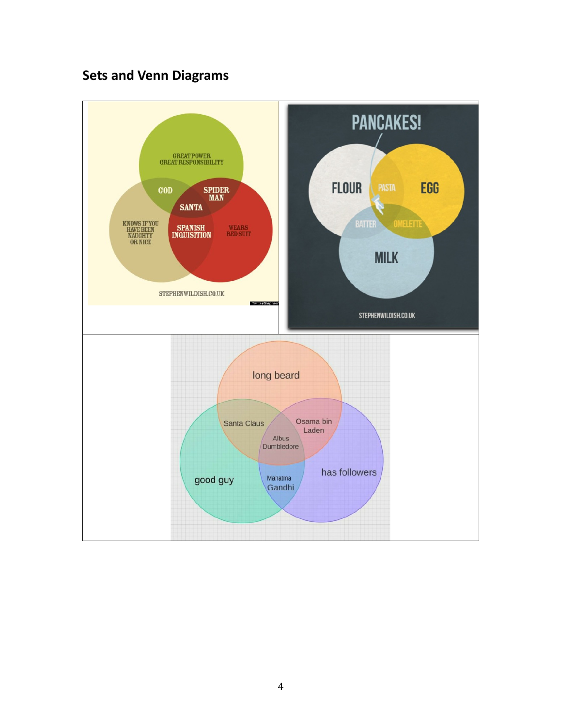# **Sets and Venn Diagrams**

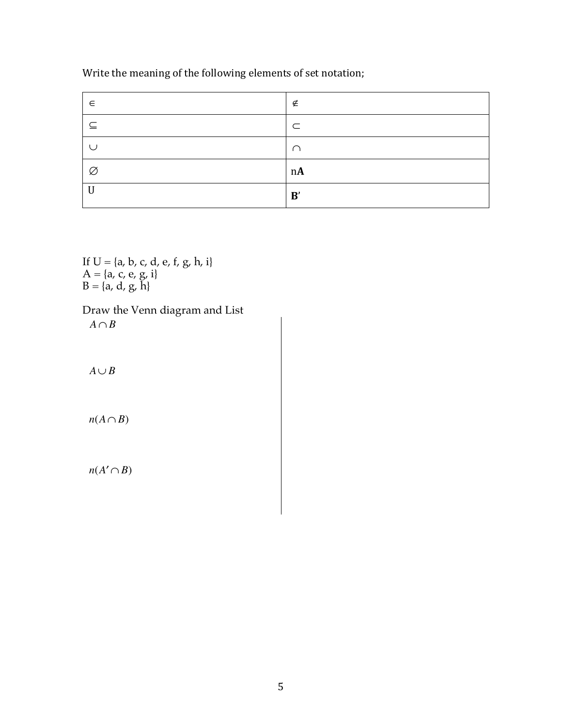Write the meaning of the following elements of set notation;

| $\in$       | ∉          |
|-------------|------------|
| ⊆           | $\subset$  |
|             | $\cap$     |
| Ø           | n <b>A</b> |
| $\mathbf U$ | B'         |

If  $U = \{a, b, c, d, e, f, g, h, i\}$  $A = \{a, c, e, g, i\}$  $B = \{a, d, g, h\}$ 

Draw the Venn diagram and List  $A \cap B$ 

 $A ∪ B$ 

 $n(A \cap B)$ 

 $n(A' \cap B)$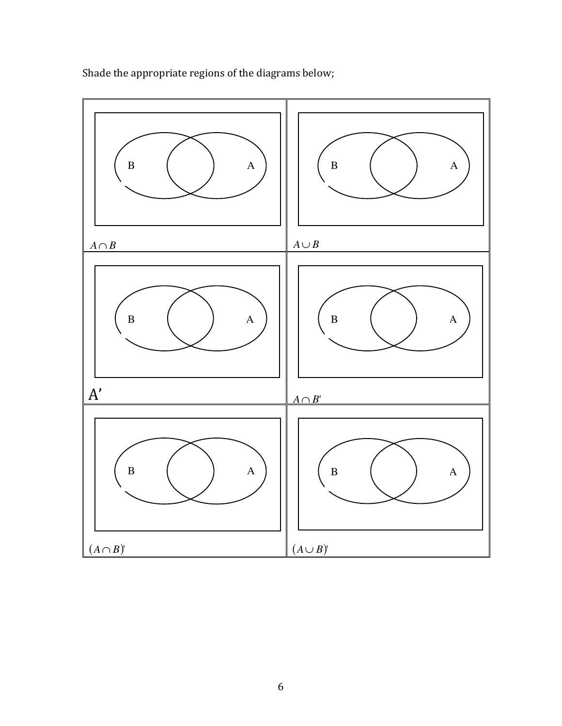

Shade the appropriate regions of the diagrams below;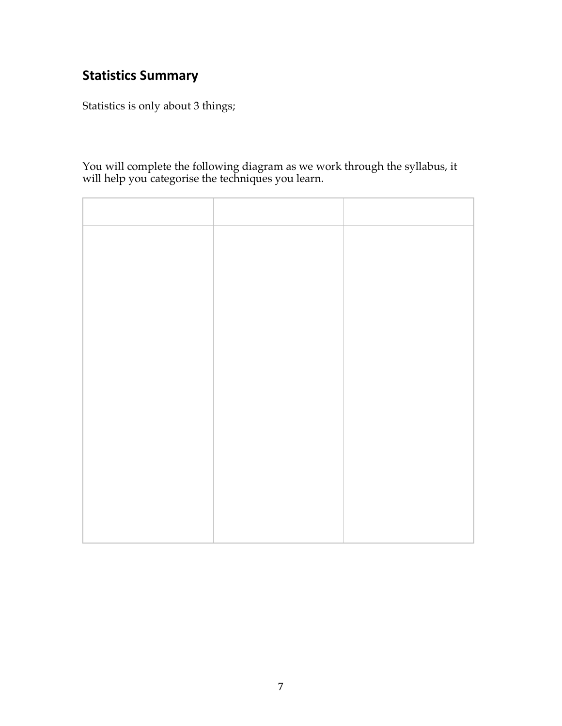### **Statistics Summary**

Statistics is only about 3 things;

You will complete the following diagram as we work through the syllabus, it will help you categorise the techniques you learn.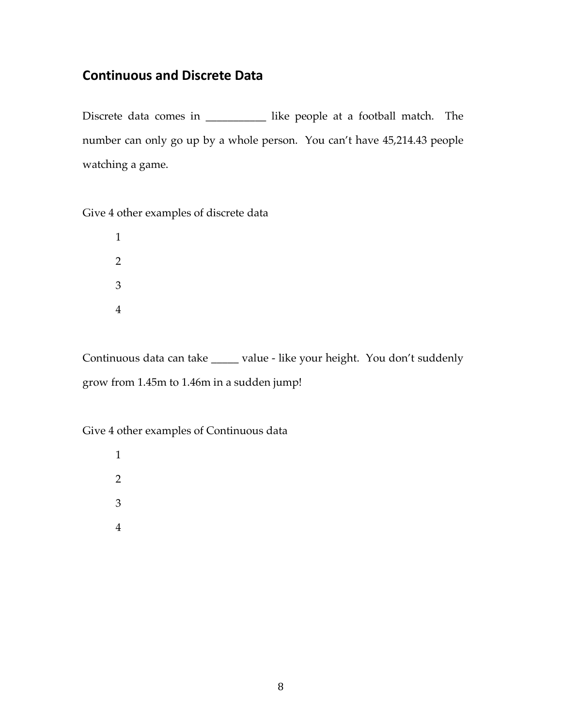#### **Continuous and Discrete Data**

Discrete data comes in \_\_\_\_\_\_\_\_\_\_\_ like people at a football match. The number can only go up by a whole person. You can't have 45,214.43 people watching a game.

Give 4 other examples of discrete data

Continuous data can take \_\_\_\_\_ value - like your height. You don't suddenly grow from 1.45m to 1.46m in a sudden jump!

Give 4 other examples of Continuous data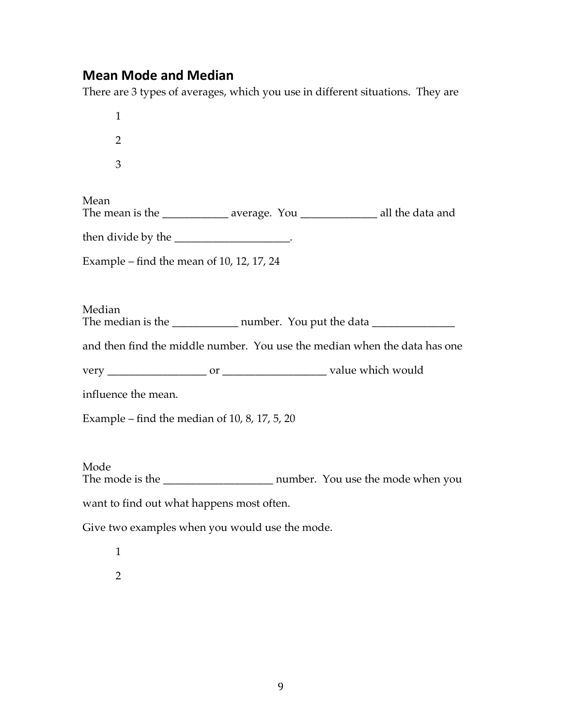#### **Mean Mode and Median**

There are 3 types of averages, which you use in different situations. They are

1 2 3 Mean The mean is the \_\_\_\_\_\_\_\_\_\_\_\_ average. You \_\_\_\_\_\_\_\_\_\_\_\_\_\_ all the data and then divide by the  $\blacksquare$ Example – find the mean of 10, 12, 17, 24 Median The median is the \_\_\_\_\_\_\_\_\_\_\_\_\_\_ number. You put the data \_\_\_\_\_\_\_\_\_\_\_\_\_\_\_\_\_\_\_\_\_\_ and then find the middle number. You use the median when the data has one very \_\_\_\_\_\_\_\_\_\_\_\_\_\_\_\_\_\_ or \_\_\_\_\_\_\_\_\_\_\_\_\_\_\_\_\_\_\_ value which would influence the mean. Example – find the median of  $10, 8, 17, 5, 20$ Mode The mode is the mode is the number. You use the mode when you want to find out what happens most often.

Give two examples when you would use the mode.

1 2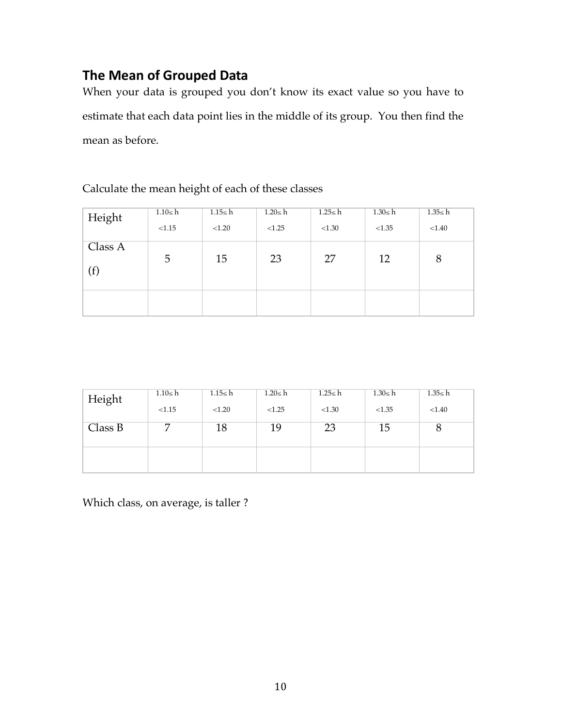### **The Mean of Grouped Data**

When your data is grouped you don't know its exact value so you have to estimate that each data point lies in the middle of its group. You then find the mean as before.

Calculate the mean height of each of these classes

| Height              | $1.10 \leq h$ | $1.15 \leq h$ | $1.20 \le h$ | $1.25 \leq h$ | $1.30 \leq h$ | $1.35 \leq h$ |
|---------------------|---------------|---------------|--------------|---------------|---------------|---------------|
|                     | < 1.15        | < 1.20        | < 1.25       | < 1.30        | < 1.35        | < 1.40        |
| Class A<br>$^{(f)}$ | 5             | 15            | 23           | 27            | 12            | 8             |
|                     |               |               |              |               |               |               |

| Height  | $1.10 \leq h$ | $1.15 \leq h$ | $1.20 \le h$ | $1.25 \leq h$ | $1.30 \leq h$ | $1.35 \leq h$ |
|---------|---------------|---------------|--------------|---------------|---------------|---------------|
|         | < 1.15        | < 1.20        | < 1.25       | < 1.30        | < 1.35        | < 1.40        |
| Class B |               | 18            | 19           | 23            | 15            | $\circ$       |
|         |               |               |              |               |               |               |

Which class, on average, is taller ?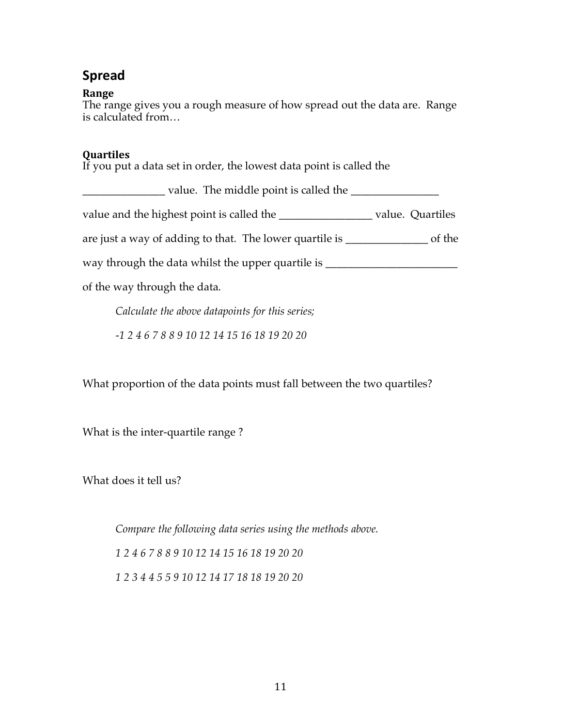### **Spread**

#### **Range**

The range gives you a rough measure of how spread out the data are. Range is calculated from…

#### **Quartiles**

If you put a data set in order, the lowest data point is called the

| _value. The middle point is called the _____                                      |        |
|-----------------------------------------------------------------------------------|--------|
| value and the highest point is called the _______________________value. Quartiles |        |
| are just a way of adding to that. The lower quartile is ___________               | of the |
| way through the data whilst the upper quartile is __                              |        |
| of the way through the data.                                                      |        |
|                                                                                   |        |

*Calculate the above datapoints for this series;*

*-1 2 4 6 7 8 8 9 10 12 14 15 16 18 19 20 20* 

What proportion of the data points must fall between the two quartiles?

What is the inter-quartile range ?

What does it tell us?

*Compare the following data series using the methods above.*

*1 2 4 6 7 8 8 9 10 12 14 15 16 18 19 20 20* 

*1 2 3 4 4 5 5 9 10 12 14 17 18 18 19 20 20*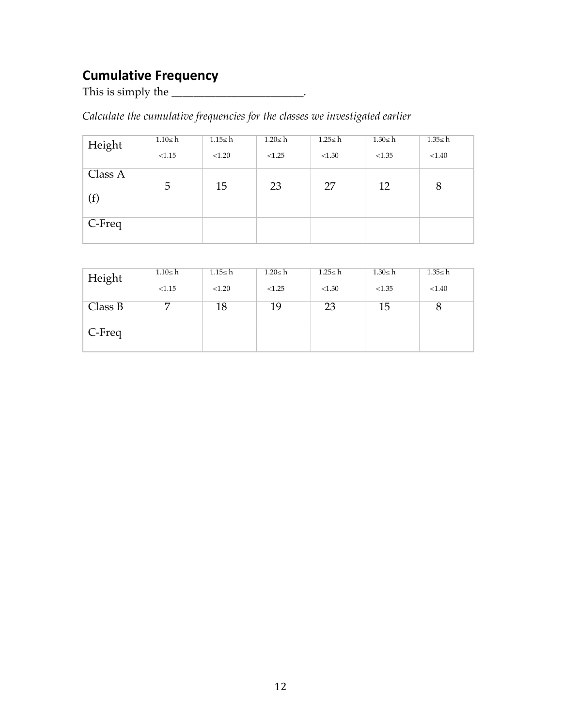# **Cumulative Frequency**

This is simply the \_\_\_\_\_\_\_\_\_\_\_\_\_\_\_\_\_\_\_\_\_\_\_\_\_.

*Calculate the cumulative frequencies for the classes we investigated earlier*

| Height              | $1.10 \leq h$ | 1.15< h | $1.20 \le h$ | $1.25 \leq h$ | $1.30 \leq h$ | $1.35 \leq h$ |
|---------------------|---------------|---------|--------------|---------------|---------------|---------------|
|                     | < 1.15        | < 1.20  | < 1.25       | < 1.30        | < 1.35        | < 1.40        |
| Class A<br>$^{(f)}$ | 5             | 15      | 23           | 27            | 12            | 8             |
| C-Freq              |               |         |              |               |               |               |

| Height  | $1.10 \leq h$ | $1.15 \leq h$ | 1.20≤ h | 1.25≤ h | 1.30≤ h | 1.35≤ h |
|---------|---------------|---------------|---------|---------|---------|---------|
|         | < 1.15        | < 1.20        | < 1.25  | < 1.30  | < 1.35  | < 1.40  |
| Class B |               | 18            | 19      | 23      | 15      | 8       |
| C-Freq  |               |               |         |         |         |         |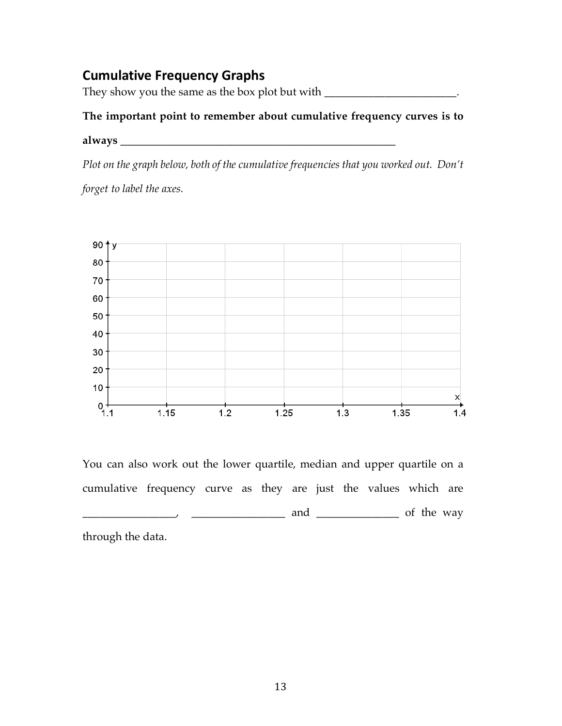### **Cumulative Frequency Graphs**

They show you the same as the box plot but with \_\_\_\_\_\_\_\_\_\_\_\_\_\_\_\_\_\_\_\_\_\_\_\_\_.

#### **The important point to remember about cumulative frequency curves is to**

#### **always \_\_\_\_\_\_\_\_\_\_\_\_\_\_\_\_\_\_\_\_\_\_\_\_\_\_\_\_\_\_\_\_\_\_\_\_\_\_\_\_\_\_\_\_\_\_\_\_\_\_**

*Plot on the graph below, both of the cumulative frequencies that you worked out. Don't* 

*forget to label the axes.*



You can also work out the lower quartile, median and upper quartile on a cumulative frequency curve as they are just the values which are \_\_\_\_\_\_\_\_\_\_\_\_\_\_\_\_\_, \_\_\_\_\_\_\_\_\_\_\_\_\_\_\_\_\_ and \_\_\_\_\_\_\_\_\_\_\_\_\_\_\_ of the way

through the data.